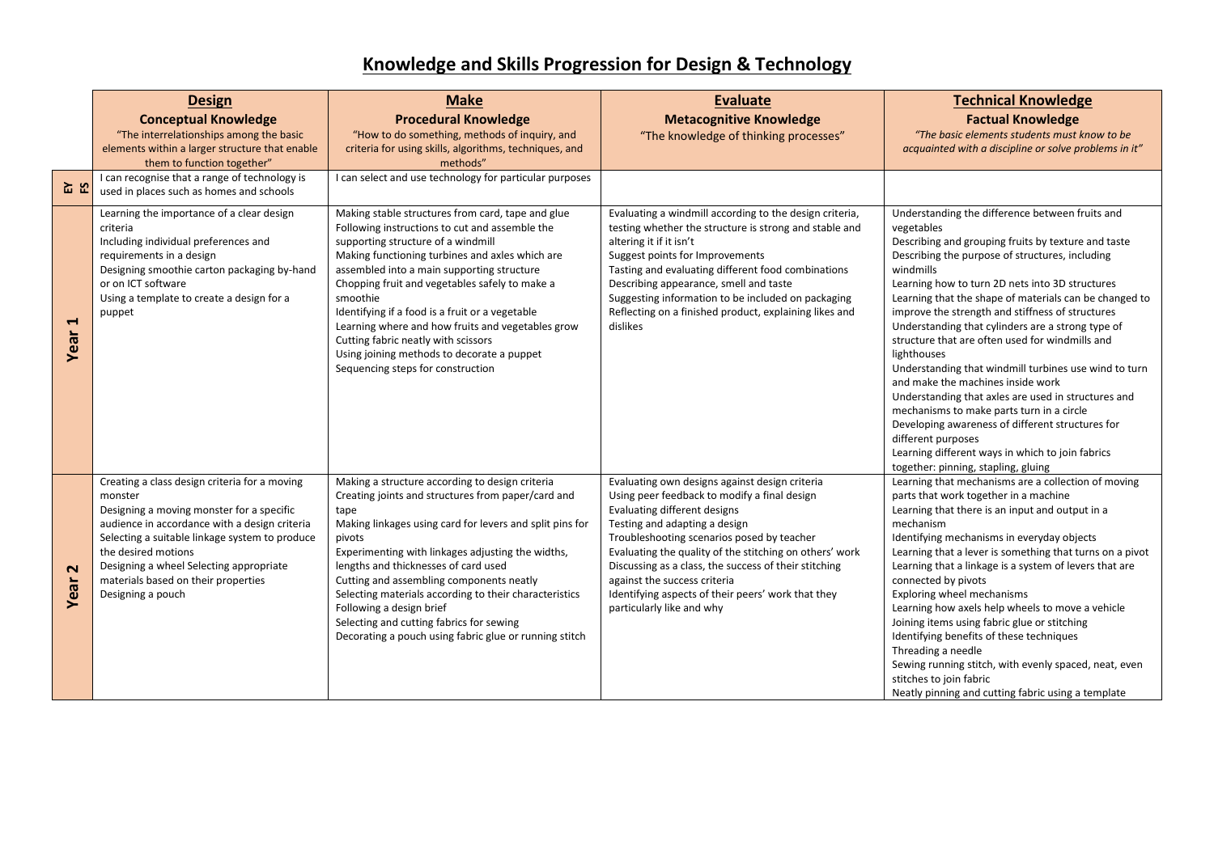## **Knowledge and Skills Progression for Design & Technology**

|                               | <b>Design</b>                                                                                                                                                                                                                                                                                                                          | <b>Make</b>                                                                                                                                                                                                                                                                                                                                                                                                                                                                                                                                | <b>Evaluate</b>                                                                                                                                                                                                                                                                                                                                                                                                                                      | <b>Technical Knowledge</b>                                                                                                                                                                                                                                                                                                                                                                                                                                                                                                                                                                                                                                                                                                                                                                                                                          |
|-------------------------------|----------------------------------------------------------------------------------------------------------------------------------------------------------------------------------------------------------------------------------------------------------------------------------------------------------------------------------------|--------------------------------------------------------------------------------------------------------------------------------------------------------------------------------------------------------------------------------------------------------------------------------------------------------------------------------------------------------------------------------------------------------------------------------------------------------------------------------------------------------------------------------------------|------------------------------------------------------------------------------------------------------------------------------------------------------------------------------------------------------------------------------------------------------------------------------------------------------------------------------------------------------------------------------------------------------------------------------------------------------|-----------------------------------------------------------------------------------------------------------------------------------------------------------------------------------------------------------------------------------------------------------------------------------------------------------------------------------------------------------------------------------------------------------------------------------------------------------------------------------------------------------------------------------------------------------------------------------------------------------------------------------------------------------------------------------------------------------------------------------------------------------------------------------------------------------------------------------------------------|
|                               | <b>Conceptual Knowledge</b>                                                                                                                                                                                                                                                                                                            | <b>Procedural Knowledge</b>                                                                                                                                                                                                                                                                                                                                                                                                                                                                                                                | <b>Metacognitive Knowledge</b>                                                                                                                                                                                                                                                                                                                                                                                                                       | <b>Factual Knowledge</b>                                                                                                                                                                                                                                                                                                                                                                                                                                                                                                                                                                                                                                                                                                                                                                                                                            |
|                               | "The interrelationships among the basic<br>elements within a larger structure that enable                                                                                                                                                                                                                                              | "How to do something, methods of inquiry, and<br>criteria for using skills, algorithms, techniques, and                                                                                                                                                                                                                                                                                                                                                                                                                                    | "The knowledge of thinking processes"                                                                                                                                                                                                                                                                                                                                                                                                                | "The basic elements students must know to be<br>acquainted with a discipline or solve problems in it"                                                                                                                                                                                                                                                                                                                                                                                                                                                                                                                                                                                                                                                                                                                                               |
| ਜੂ<br>ਮ⊒                      | them to function together"<br>I can recognise that a range of technology is<br>used in places such as homes and schools                                                                                                                                                                                                                | methods"<br>I can select and use technology for particular purposes                                                                                                                                                                                                                                                                                                                                                                                                                                                                        |                                                                                                                                                                                                                                                                                                                                                                                                                                                      |                                                                                                                                                                                                                                                                                                                                                                                                                                                                                                                                                                                                                                                                                                                                                                                                                                                     |
| $\blacktriangleright$<br>Year | Learning the importance of a clear design<br>criteria<br>Including individual preferences and<br>requirements in a design<br>Designing smoothie carton packaging by-hand<br>or on ICT software<br>Using a template to create a design for a<br>puppet                                                                                  | Making stable structures from card, tape and glue<br>Following instructions to cut and assemble the<br>supporting structure of a windmill<br>Making functioning turbines and axles which are<br>assembled into a main supporting structure<br>Chopping fruit and vegetables safely to make a<br>smoothie<br>Identifying if a food is a fruit or a vegetable<br>Learning where and how fruits and vegetables grow<br>Cutting fabric neatly with scissors<br>Using joining methods to decorate a puppet<br>Sequencing steps for construction | Evaluating a windmill according to the design criteria,<br>testing whether the structure is strong and stable and<br>altering it if it isn't<br>Suggest points for Improvements<br>Tasting and evaluating different food combinations<br>Describing appearance, smell and taste<br>Suggesting information to be included on packaging<br>Reflecting on a finished product, explaining likes and<br>dislikes                                          | Understanding the difference between fruits and<br>vegetables<br>Describing and grouping fruits by texture and taste<br>Describing the purpose of structures, including<br>windmills<br>Learning how to turn 2D nets into 3D structures<br>Learning that the shape of materials can be changed to<br>improve the strength and stiffness of structures<br>Understanding that cylinders are a strong type of<br>structure that are often used for windmills and<br>lighthouses<br>Understanding that windmill turbines use wind to turn<br>and make the machines inside work<br>Understanding that axles are used in structures and<br>mechanisms to make parts turn in a circle<br>Developing awareness of different structures for<br>different purposes<br>Learning different ways in which to join fabrics<br>together: pinning, stapling, gluing |
| $\mathbf{\Omega}$<br>Year     | Creating a class design criteria for a moving<br>monster<br>Designing a moving monster for a specific<br>audience in accordance with a design criteria<br>Selecting a suitable linkage system to produce<br>the desired motions<br>Designing a wheel Selecting appropriate<br>materials based on their properties<br>Designing a pouch | Making a structure according to design criteria<br>Creating joints and structures from paper/card and<br>tape<br>Making linkages using card for levers and split pins for<br>pivots<br>Experimenting with linkages adjusting the widths,<br>lengths and thicknesses of card used<br>Cutting and assembling components neatly<br>Selecting materials according to their characteristics<br>Following a design brief<br>Selecting and cutting fabrics for sewing<br>Decorating a pouch using fabric glue or running stitch                   | Evaluating own designs against design criteria<br>Using peer feedback to modify a final design<br>Evaluating different designs<br>Testing and adapting a design<br>Troubleshooting scenarios posed by teacher<br>Evaluating the quality of the stitching on others' work<br>Discussing as a class, the success of their stitching<br>against the success criteria<br>Identifying aspects of their peers' work that they<br>particularly like and why | Learning that mechanisms are a collection of moving<br>parts that work together in a machine<br>Learning that there is an input and output in a<br>mechanism<br>Identifying mechanisms in everyday objects<br>Learning that a lever is something that turns on a pivot<br>Learning that a linkage is a system of levers that are<br>connected by pivots<br>Exploring wheel mechanisms<br>Learning how axels help wheels to move a vehicle<br>Joining items using fabric glue or stitching<br>Identifying benefits of these techniques<br>Threading a needle<br>Sewing running stitch, with evenly spaced, neat, even<br>stitches to join fabric<br>Neatly pinning and cutting fabric using a template                                                                                                                                               |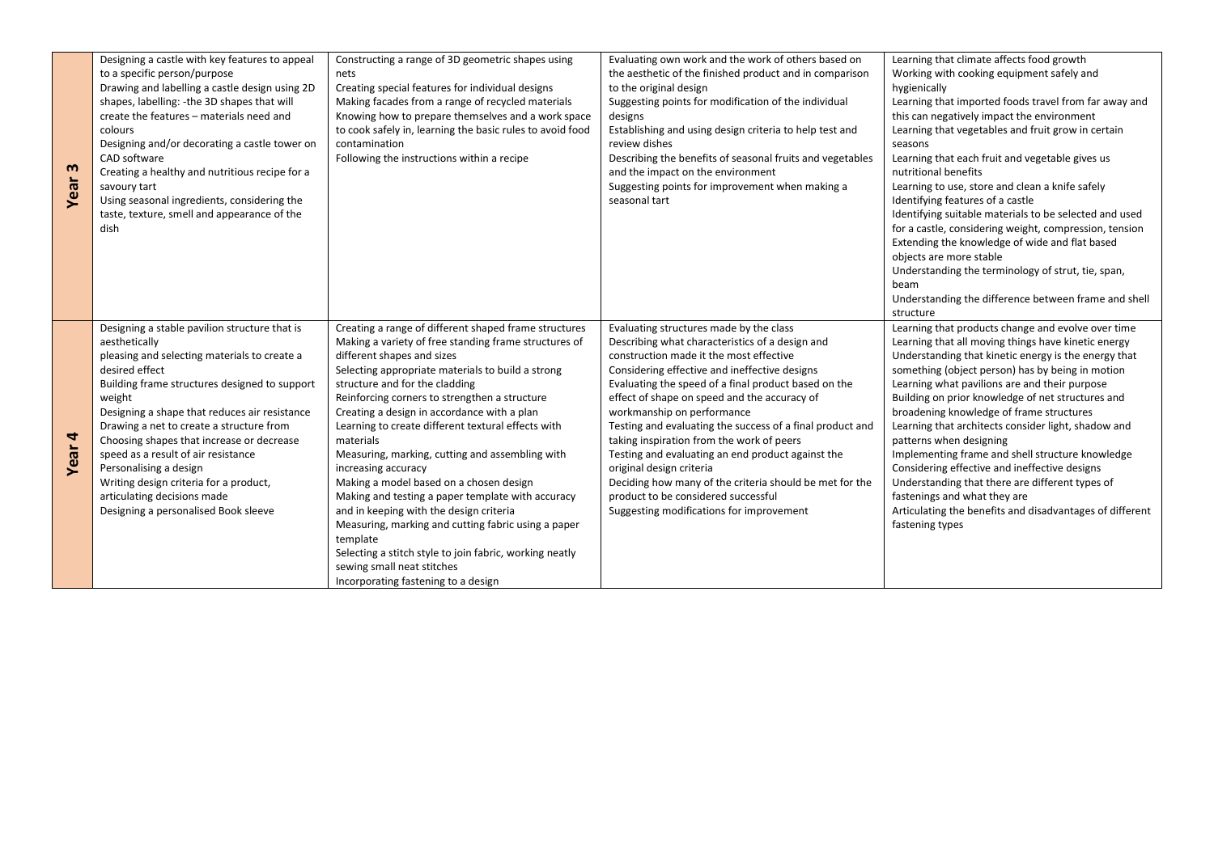| $\mathbf{m}$<br>Year | Designing a castle with key features to appeal<br>to a specific person/purpose<br>Drawing and labelling a castle design using 2D<br>shapes, labelling: -the 3D shapes that will<br>create the features - materials need and<br>colours<br>Designing and/or decorating a castle tower on<br>CAD software<br>Creating a healthy and nutritious recipe for a<br>savoury tart<br>Using seasonal ingredients, considering the<br>taste, texture, smell and appearance of the<br>dish                                         | Constructing a range of 3D geometric shapes using<br>nets<br>Creating special features for individual designs<br>Making facades from a range of recycled materials<br>Knowing how to prepare themselves and a work space<br>to cook safely in, learning the basic rules to avoid food<br>contamination<br>Following the instructions within a recipe                                                                                                                                                                                                                                                                                                                                                                                                                                                                           | Evaluating own work and the work of others based on<br>the aesthetic of the finished product and in comparison<br>to the original design<br>Suggesting points for modification of the individual<br>designs<br>Establishing and using design criteria to help test and<br>review dishes<br>Describing the benefits of seasonal fruits and vegetables<br>and the impact on the environment<br>Suggesting points for improvement when making a<br>seasonal tart                                                                                                                                                                                                         | Learning that climate affects food growth<br>Working with cooking equipment safely and<br>hygienically<br>Learning that imported foods travel from far away and<br>this can negatively impact the environment<br>Learning that vegetables and fruit grow in certain<br>seasons<br>Learning that each fruit and vegetable gives us<br>nutritional benefits<br>Learning to use, store and clean a knife safely<br>Identifying features of a castle<br>Identifying suitable materials to be selected and used<br>for a castle, considering weight, compression, tension<br>Extending the knowledge of wide and flat based<br>objects are more stable<br>Understanding the terminology of strut, tie, span,<br>beam<br>Understanding the difference between frame and shell<br>structure |
|----------------------|-------------------------------------------------------------------------------------------------------------------------------------------------------------------------------------------------------------------------------------------------------------------------------------------------------------------------------------------------------------------------------------------------------------------------------------------------------------------------------------------------------------------------|--------------------------------------------------------------------------------------------------------------------------------------------------------------------------------------------------------------------------------------------------------------------------------------------------------------------------------------------------------------------------------------------------------------------------------------------------------------------------------------------------------------------------------------------------------------------------------------------------------------------------------------------------------------------------------------------------------------------------------------------------------------------------------------------------------------------------------|-----------------------------------------------------------------------------------------------------------------------------------------------------------------------------------------------------------------------------------------------------------------------------------------------------------------------------------------------------------------------------------------------------------------------------------------------------------------------------------------------------------------------------------------------------------------------------------------------------------------------------------------------------------------------|--------------------------------------------------------------------------------------------------------------------------------------------------------------------------------------------------------------------------------------------------------------------------------------------------------------------------------------------------------------------------------------------------------------------------------------------------------------------------------------------------------------------------------------------------------------------------------------------------------------------------------------------------------------------------------------------------------------------------------------------------------------------------------------|
| 4<br>Year            | Designing a stable pavilion structure that is<br>aesthetically<br>pleasing and selecting materials to create a<br>desired effect<br>Building frame structures designed to support<br>weight<br>Designing a shape that reduces air resistance<br>Drawing a net to create a structure from<br>Choosing shapes that increase or decrease<br>speed as a result of air resistance<br>Personalising a design<br>Writing design criteria for a product,<br>articulating decisions made<br>Designing a personalised Book sleeve | Creating a range of different shaped frame structures<br>Making a variety of free standing frame structures of<br>different shapes and sizes<br>Selecting appropriate materials to build a strong<br>structure and for the cladding<br>Reinforcing corners to strengthen a structure<br>Creating a design in accordance with a plan<br>Learning to create different textural effects with<br>materials<br>Measuring, marking, cutting and assembling with<br>increasing accuracy<br>Making a model based on a chosen design<br>Making and testing a paper template with accuracy<br>and in keeping with the design criteria<br>Measuring, marking and cutting fabric using a paper<br>template<br>Selecting a stitch style to join fabric, working neatly<br>sewing small neat stitches<br>Incorporating fastening to a design | Evaluating structures made by the class<br>Describing what characteristics of a design and<br>construction made it the most effective<br>Considering effective and ineffective designs<br>Evaluating the speed of a final product based on the<br>effect of shape on speed and the accuracy of<br>workmanship on performance<br>Testing and evaluating the success of a final product and<br>taking inspiration from the work of peers<br>Testing and evaluating an end product against the<br>original design criteria<br>Deciding how many of the criteria should be met for the<br>product to be considered successful<br>Suggesting modifications for improvement | Learning that products change and evolve over time<br>Learning that all moving things have kinetic energy<br>Understanding that kinetic energy is the energy that<br>something (object person) has by being in motion<br>Learning what pavilions are and their purpose<br>Building on prior knowledge of net structures and<br>broadening knowledge of frame structures<br>Learning that architects consider light, shadow and<br>patterns when designing<br>Implementing frame and shell structure knowledge<br>Considering effective and ineffective designs<br>Understanding that there are different types of<br>fastenings and what they are<br>Articulating the benefits and disadvantages of different<br>fastening types                                                     |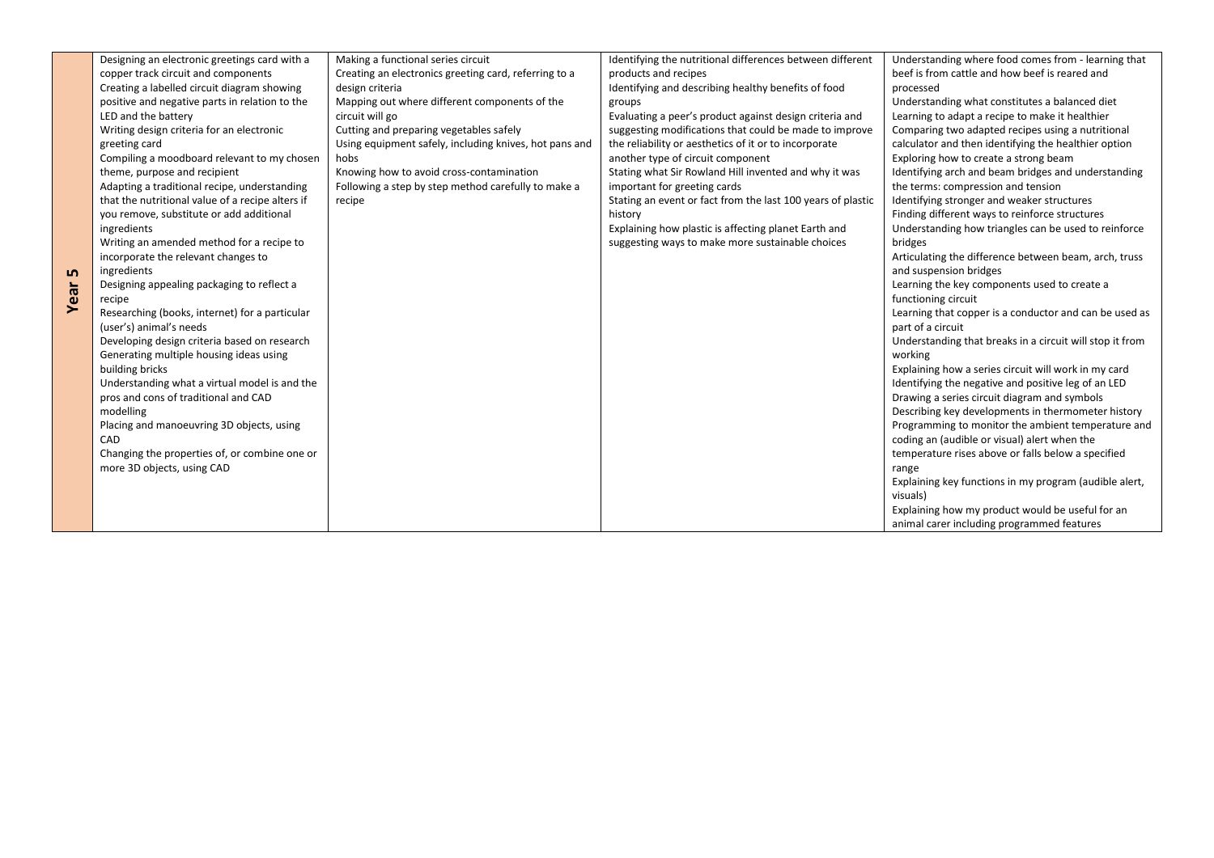| ம<br>Year | Designing an electronic greetings card with a<br>copper track circuit and components<br>Creating a labelled circuit diagram showing<br>positive and negative parts in relation to the<br>LED and the battery<br>Writing design criteria for an electronic<br>greeting card<br>Compiling a moodboard relevant to my chosen<br>theme, purpose and recipient<br>Adapting a traditional recipe, understanding<br>that the nutritional value of a recipe alters if<br>you remove, substitute or add additional<br>ingredients<br>Writing an amended method for a recipe to<br>incorporate the relevant changes to<br>ingredients<br>Designing appealing packaging to reflect a<br>recipe<br>Researching (books, internet) for a particular<br>(user's) animal's needs<br>Developing design criteria based on research<br>Generating multiple housing ideas using<br>building bricks<br>Understanding what a virtual model is and the<br>pros and cons of traditional and CAD<br>modelling<br>Placing and manoeuvring 3D objects, using<br>CAD<br>Changing the properties of, or combine one or | Making a functional series circuit<br>Creating an electronics greeting card, referring to a<br>design criteria<br>Mapping out where different components of the<br>circuit will go<br>Cutting and preparing vegetables safely<br>Using equipment safely, including knives, hot pans and<br>hobs<br>Knowing how to avoid cross-contamination<br>Following a step by step method carefully to make a<br>recipe | Identifying the nutritional differences between different<br>products and recipes<br>Identifying and describing healthy benefits of food<br>groups<br>Evaluating a peer's product against design criteria and<br>suggesting modifications that could be made to improve<br>the reliability or aesthetics of it or to incorporate<br>another type of circuit component<br>Stating what Sir Rowland Hill invented and why it was<br>important for greeting cards<br>Stating an event or fact from the last 100 years of plastic<br>history<br>Explaining how plastic is affecting planet Earth and<br>suggesting ways to make more sustainable choices | Understanding where food comes from - learning that<br>beef is from cattle and how beef is reared and<br>processed<br>Understanding what constitutes a balanced diet<br>Learning to adapt a recipe to make it healthier<br>Comparing two adapted recipes using a nutritional<br>calculator and then identifying the healthier option<br>Exploring how to create a strong beam<br>Identifying arch and beam bridges and understanding<br>the terms: compression and tension<br>Identifying stronger and weaker structures<br>Finding different ways to reinforce structures<br>Understanding how triangles can be used to reinforce<br>bridges<br>Articulating the difference between beam, arch, truss<br>and suspension bridges<br>Learning the key components used to create a<br>functioning circuit<br>Learning that copper is a conductor and can be used as<br>part of a circuit<br>Understanding that breaks in a circuit will stop it from<br>working<br>Explaining how a series circuit will work in my card<br>Identifying the negative and positive leg of an LED<br>Drawing a series circuit diagram and symbols<br>Describing key developments in thermometer history<br>Programming to monitor the ambient temperature and<br>coding an (audible or visual) alert when the<br>temperature rises above or falls below a specified |
|-----------|-------------------------------------------------------------------------------------------------------------------------------------------------------------------------------------------------------------------------------------------------------------------------------------------------------------------------------------------------------------------------------------------------------------------------------------------------------------------------------------------------------------------------------------------------------------------------------------------------------------------------------------------------------------------------------------------------------------------------------------------------------------------------------------------------------------------------------------------------------------------------------------------------------------------------------------------------------------------------------------------------------------------------------------------------------------------------------------------|--------------------------------------------------------------------------------------------------------------------------------------------------------------------------------------------------------------------------------------------------------------------------------------------------------------------------------------------------------------------------------------------------------------|------------------------------------------------------------------------------------------------------------------------------------------------------------------------------------------------------------------------------------------------------------------------------------------------------------------------------------------------------------------------------------------------------------------------------------------------------------------------------------------------------------------------------------------------------------------------------------------------------------------------------------------------------|------------------------------------------------------------------------------------------------------------------------------------------------------------------------------------------------------------------------------------------------------------------------------------------------------------------------------------------------------------------------------------------------------------------------------------------------------------------------------------------------------------------------------------------------------------------------------------------------------------------------------------------------------------------------------------------------------------------------------------------------------------------------------------------------------------------------------------------------------------------------------------------------------------------------------------------------------------------------------------------------------------------------------------------------------------------------------------------------------------------------------------------------------------------------------------------------------------------------------------------------------------------------------------------------------------------------------------------------|
|           | more 3D objects, using CAD                                                                                                                                                                                                                                                                                                                                                                                                                                                                                                                                                                                                                                                                                                                                                                                                                                                                                                                                                                                                                                                                |                                                                                                                                                                                                                                                                                                                                                                                                              |                                                                                                                                                                                                                                                                                                                                                                                                                                                                                                                                                                                                                                                      | range<br>Explaining key functions in my program (audible alert,<br>visuals)<br>Explaining how my product would be useful for an                                                                                                                                                                                                                                                                                                                                                                                                                                                                                                                                                                                                                                                                                                                                                                                                                                                                                                                                                                                                                                                                                                                                                                                                                |
|           |                                                                                                                                                                                                                                                                                                                                                                                                                                                                                                                                                                                                                                                                                                                                                                                                                                                                                                                                                                                                                                                                                           |                                                                                                                                                                                                                                                                                                                                                                                                              |                                                                                                                                                                                                                                                                                                                                                                                                                                                                                                                                                                                                                                                      | animal carer including programmed features                                                                                                                                                                                                                                                                                                                                                                                                                                                                                                                                                                                                                                                                                                                                                                                                                                                                                                                                                                                                                                                                                                                                                                                                                                                                                                     |